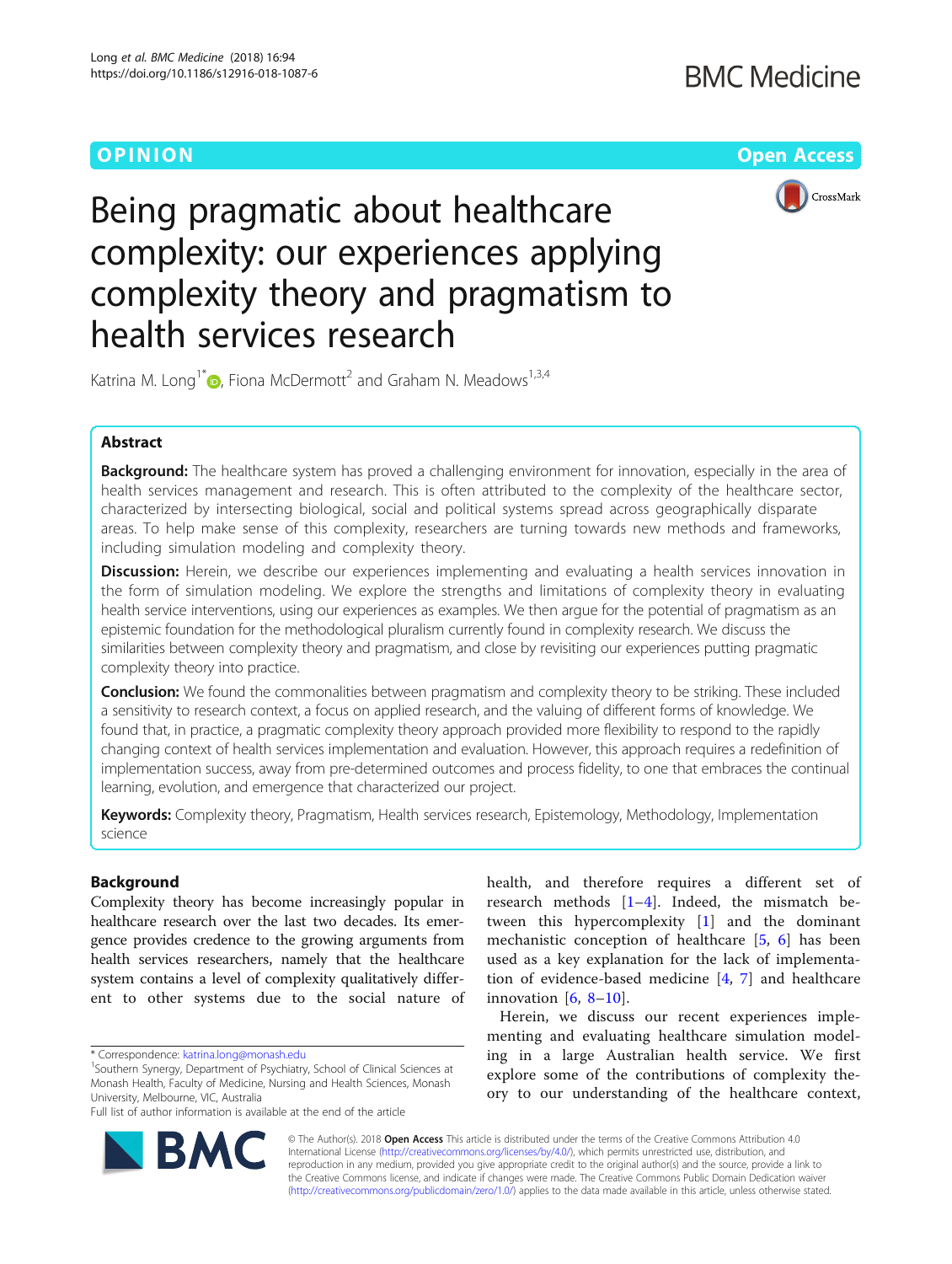O PINION Open Access



# Being pragmatic about healthcare complexity: our experiences applying complexity theory and pragmatism to health services research

Katrina M. Long<sup>1[\\*](http://orcid.org/0000-0002-8684-3302)</sup> $\bullet$ , Fiona McDermott<sup>2</sup> and Graham N. Meadows<sup>1,3,4</sup>

# Abstract

Background: The healthcare system has proved a challenging environment for innovation, especially in the area of health services management and research. This is often attributed to the complexity of the healthcare sector, characterized by intersecting biological, social and political systems spread across geographically disparate areas. To help make sense of this complexity, researchers are turning towards new methods and frameworks, including simulation modeling and complexity theory.

**Discussion:** Herein, we describe our experiences implementing and evaluating a health services innovation in the form of simulation modeling. We explore the strengths and limitations of complexity theory in evaluating health service interventions, using our experiences as examples. We then argue for the potential of pragmatism as an epistemic foundation for the methodological pluralism currently found in complexity research. We discuss the similarities between complexity theory and pragmatism, and close by revisiting our experiences putting pragmatic complexity theory into practice.

**Conclusion:** We found the commonalities between pragmatism and complexity theory to be striking. These included a sensitivity to research context, a focus on applied research, and the valuing of different forms of knowledge. We found that, in practice, a pragmatic complexity theory approach provided more flexibility to respond to the rapidly changing context of health services implementation and evaluation. However, this approach requires a redefinition of implementation success, away from pre-determined outcomes and process fidelity, to one that embraces the continual learning, evolution, and emergence that characterized our project.

Keywords: Complexity theory, Pragmatism, Health services research, Epistemology, Methodology, Implementation science

# Background

Complexity theory has become increasingly popular in healthcare research over the last two decades. Its emergence provides credence to the growing arguments from health services researchers, namely that the healthcare system contains a level of complexity qualitatively different to other systems due to the social nature of

health, and therefore requires a different set of research methods  $[1-4]$  $[1-4]$  $[1-4]$  $[1-4]$ . Indeed, the mismatch between this hypercomplexity [\[1](#page-7-0)] and the dominant mechanistic conception of healthcare [[5,](#page-7-0) [6\]](#page-7-0) has been used as a key explanation for the lack of implementation of evidence-based medicine [[4,](#page-7-0) [7](#page-7-0)] and healthcare innovation  $[6, 8-10]$  $[6, 8-10]$  $[6, 8-10]$  $[6, 8-10]$  $[6, 8-10]$ .

Herein, we discuss our recent experiences implementing and evaluating healthcare simulation modeling in a large Australian health service. We first explore some of the contributions of complexity theory to our understanding of the healthcare context,



© The Author(s). 2018 Open Access This article is distributed under the terms of the Creative Commons Attribution 4.0 International License [\(http://creativecommons.org/licenses/by/4.0/](http://creativecommons.org/licenses/by/4.0/)), which permits unrestricted use, distribution, and reproduction in any medium, provided you give appropriate credit to the original author(s) and the source, provide a link to the Creative Commons license, and indicate if changes were made. The Creative Commons Public Domain Dedication waiver [\(http://creativecommons.org/publicdomain/zero/1.0/](http://creativecommons.org/publicdomain/zero/1.0/)) applies to the data made available in this article, unless otherwise stated.

<sup>\*</sup> Correspondence: [katrina.long@monash.edu](mailto:katrina.long@monash.edu) <sup>1</sup>

<sup>&</sup>lt;sup>1</sup>Southern Synergy, Department of Psychiatry, School of Clinical Sciences at Monash Health, Faculty of Medicine, Nursing and Health Sciences, Monash University, Melbourne, VIC, Australia

Full list of author information is available at the end of the article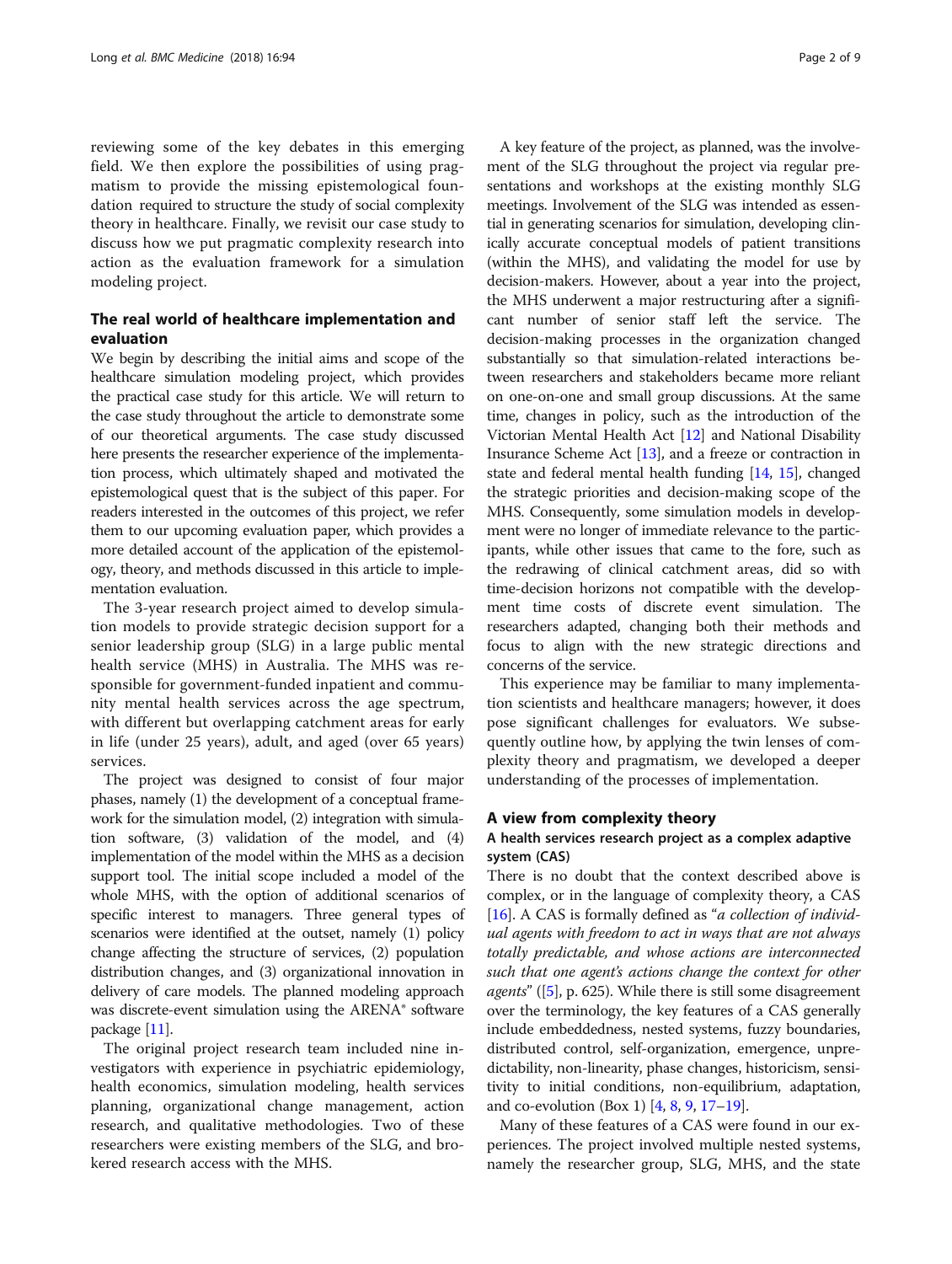reviewing some of the key debates in this emerging field. We then explore the possibilities of using pragmatism to provide the missing epistemological foundation required to structure the study of social complexity theory in healthcare. Finally, we revisit our case study to discuss how we put pragmatic complexity research into action as the evaluation framework for a simulation modeling project.

# The real world of healthcare implementation and evaluation

We begin by describing the initial aims and scope of the healthcare simulation modeling project, which provides the practical case study for this article. We will return to the case study throughout the article to demonstrate some of our theoretical arguments. The case study discussed here presents the researcher experience of the implementation process, which ultimately shaped and motivated the epistemological quest that is the subject of this paper. For readers interested in the outcomes of this project, we refer them to our upcoming evaluation paper, which provides a more detailed account of the application of the epistemology, theory, and methods discussed in this article to implementation evaluation.

The 3-year research project aimed to develop simulation models to provide strategic decision support for a senior leadership group (SLG) in a large public mental health service (MHS) in Australia. The MHS was responsible for government-funded inpatient and community mental health services across the age spectrum, with different but overlapping catchment areas for early in life (under 25 years), adult, and aged (over 65 years) services.

The project was designed to consist of four major phases, namely (1) the development of a conceptual framework for the simulation model, (2) integration with simulation software, (3) validation of the model, and (4) implementation of the model within the MHS as a decision support tool. The initial scope included a model of the whole MHS, with the option of additional scenarios of specific interest to managers. Three general types of scenarios were identified at the outset, namely (1) policy change affecting the structure of services, (2) population distribution changes, and (3) organizational innovation in delivery of care models. The planned modeling approach was discrete-event simulation using the ARENA® software package [[11](#page-7-0)].

The original project research team included nine investigators with experience in psychiatric epidemiology, health economics, simulation modeling, health services planning, organizational change management, action research, and qualitative methodologies. Two of these researchers were existing members of the SLG, and brokered research access with the MHS.

A key feature of the project, as planned, was the involvement of the SLG throughout the project via regular presentations and workshops at the existing monthly SLG meetings. Involvement of the SLG was intended as essential in generating scenarios for simulation, developing clinically accurate conceptual models of patient transitions (within the MHS), and validating the model for use by decision-makers. However, about a year into the project, the MHS underwent a major restructuring after a significant number of senior staff left the service. The decision-making processes in the organization changed substantially so that simulation-related interactions between researchers and stakeholders became more reliant on one-on-one and small group discussions. At the same time, changes in policy, such as the introduction of the Victorian Mental Health Act [[12](#page-7-0)] and National Disability Insurance Scheme Act [\[13\]](#page-7-0), and a freeze or contraction in state and federal mental health funding [\[14](#page-7-0), [15\]](#page-7-0), changed the strategic priorities and decision-making scope of the MHS. Consequently, some simulation models in development were no longer of immediate relevance to the participants, while other issues that came to the fore, such as the redrawing of clinical catchment areas, did so with time-decision horizons not compatible with the development time costs of discrete event simulation. The researchers adapted, changing both their methods and focus to align with the new strategic directions and concerns of the service.

This experience may be familiar to many implementation scientists and healthcare managers; however, it does pose significant challenges for evaluators. We subsequently outline how, by applying the twin lenses of complexity theory and pragmatism, we developed a deeper understanding of the processes of implementation.

# A view from complexity theory

# A health services research project as a complex adaptive system (CAS)

There is no doubt that the context described above is complex, or in the language of complexity theory, a CAS [[16](#page-7-0)]. A CAS is formally defined as "a collection of individual agents with freedom to act in ways that are not always totally predictable, and whose actions are interconnected such that one agent's actions change the context for other agents" ([[5\]](#page-7-0), p. 625). While there is still some disagreement over the terminology, the key features of a CAS generally include embeddedness, nested systems, fuzzy boundaries, distributed control, self-organization, emergence, unpredictability, non-linearity, phase changes, historicism, sensitivity to initial conditions, non-equilibrium, adaptation, and co-evolution (Box 1) [[4,](#page-7-0) [8](#page-7-0), [9,](#page-7-0) [17](#page-7-0)–[19\]](#page-7-0).

Many of these features of a CAS were found in our experiences. The project involved multiple nested systems, namely the researcher group, SLG, MHS, and the state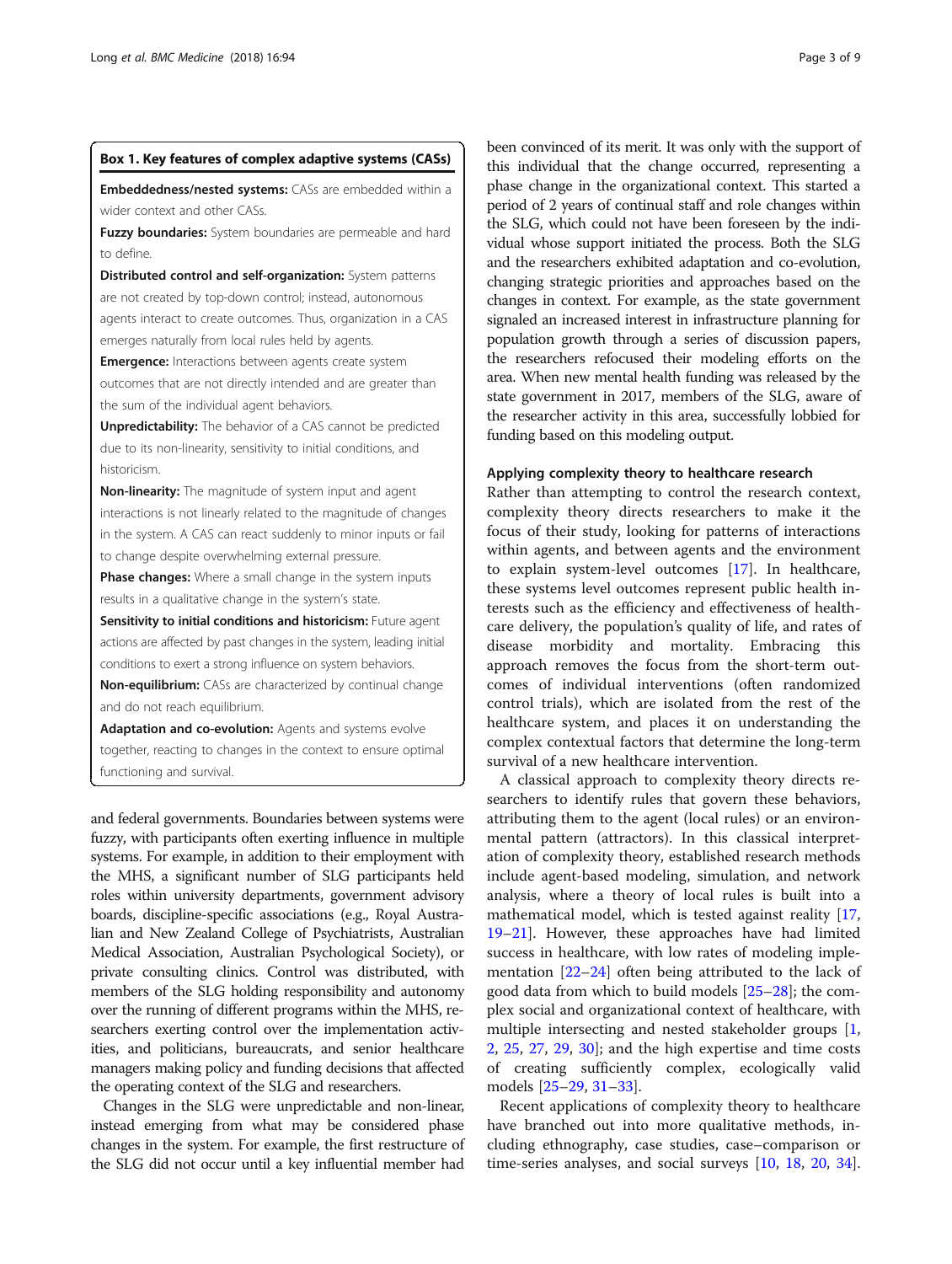#### Box 1. Key features of complex adaptive systems (CASs)

Embeddedness/nested systems: CASs are embedded within a wider context and other CASs.

Fuzzy boundaries: System boundaries are permeable and hard to define.

Distributed control and self-organization: System patterns are not created by top-down control; instead, autonomous agents interact to create outcomes. Thus, organization in a CAS emerges naturally from local rules held by agents.

**Emergence:** Interactions between agents create system outcomes that are not directly intended and are greater than the sum of the individual agent behaviors.

Unpredictability: The behavior of a CAS cannot be predicted due to its non-linearity, sensitivity to initial conditions, and historicism.

Non-linearity: The magnitude of system input and agent interactions is not linearly related to the magnitude of changes in the system. A CAS can react suddenly to minor inputs or fail to change despite overwhelming external pressure.

Phase changes: Where a small change in the system inputs results in a qualitative change in the system's state.

Sensitivity to initial conditions and historicism: Future agent actions are affected by past changes in the system, leading initial conditions to exert a strong influence on system behaviors.

Non-equilibrium: CASs are characterized by continual change and do not reach equilibrium.

Adaptation and co-evolution: Agents and systems evolve together, reacting to changes in the context to ensure optimal functioning and survival.

and federal governments. Boundaries between systems were fuzzy, with participants often exerting influence in multiple systems. For example, in addition to their employment with the MHS, a significant number of SLG participants held roles within university departments, government advisory boards, discipline-specific associations (e.g., Royal Australian and New Zealand College of Psychiatrists, Australian Medical Association, Australian Psychological Society), or private consulting clinics. Control was distributed, with members of the SLG holding responsibility and autonomy over the running of different programs within the MHS, researchers exerting control over the implementation activities, and politicians, bureaucrats, and senior healthcare managers making policy and funding decisions that affected the operating context of the SLG and researchers.

Changes in the SLG were unpredictable and non-linear, instead emerging from what may be considered phase changes in the system. For example, the first restructure of the SLG did not occur until a key influential member had

been convinced of its merit. It was only with the support of this individual that the change occurred, representing a phase change in the organizational context. This started a period of 2 years of continual staff and role changes within the SLG, which could not have been foreseen by the individual whose support initiated the process. Both the SLG and the researchers exhibited adaptation and co-evolution, changing strategic priorities and approaches based on the changes in context. For example, as the state government signaled an increased interest in infrastructure planning for population growth through a series of discussion papers, the researchers refocused their modeling efforts on the area. When new mental health funding was released by the state government in 2017, members of the SLG, aware of the researcher activity in this area, successfully lobbied for funding based on this modeling output.

#### Applying complexity theory to healthcare research

Rather than attempting to control the research context, complexity theory directs researchers to make it the focus of their study, looking for patterns of interactions within agents, and between agents and the environment to explain system-level outcomes [[17](#page-7-0)]. In healthcare, these systems level outcomes represent public health interests such as the efficiency and effectiveness of healthcare delivery, the population's quality of life, and rates of disease morbidity and mortality. Embracing this approach removes the focus from the short-term outcomes of individual interventions (often randomized control trials), which are isolated from the rest of the healthcare system, and places it on understanding the complex contextual factors that determine the long-term survival of a new healthcare intervention.

A classical approach to complexity theory directs researchers to identify rules that govern these behaviors, attributing them to the agent (local rules) or an environmental pattern (attractors). In this classical interpretation of complexity theory, established research methods include agent-based modeling, simulation, and network analysis, where a theory of local rules is built into a mathematical model, which is tested against reality [[17](#page-7-0), [19](#page-7-0)–[21](#page-7-0)]. However, these approaches have had limited success in healthcare, with low rates of modeling implementation [[22](#page-7-0)–[24](#page-7-0)] often being attributed to the lack of good data from which to build models [[25](#page-7-0)–[28](#page-8-0)]; the complex social and organizational context of healthcare, with multiple intersecting and nested stakeholder groups [\[1](#page-7-0), [2,](#page-7-0) [25](#page-7-0), [27,](#page-7-0) [29](#page-8-0), [30\]](#page-8-0); and the high expertise and time costs of creating sufficiently complex, ecologically valid models [\[25](#page-7-0)–[29,](#page-8-0) [31](#page-8-0)–[33](#page-8-0)].

Recent applications of complexity theory to healthcare have branched out into more qualitative methods, including ethnography, case studies, case–comparison or time-series analyses, and social surveys [[10](#page-7-0), [18](#page-7-0), [20](#page-7-0), [34](#page-8-0)].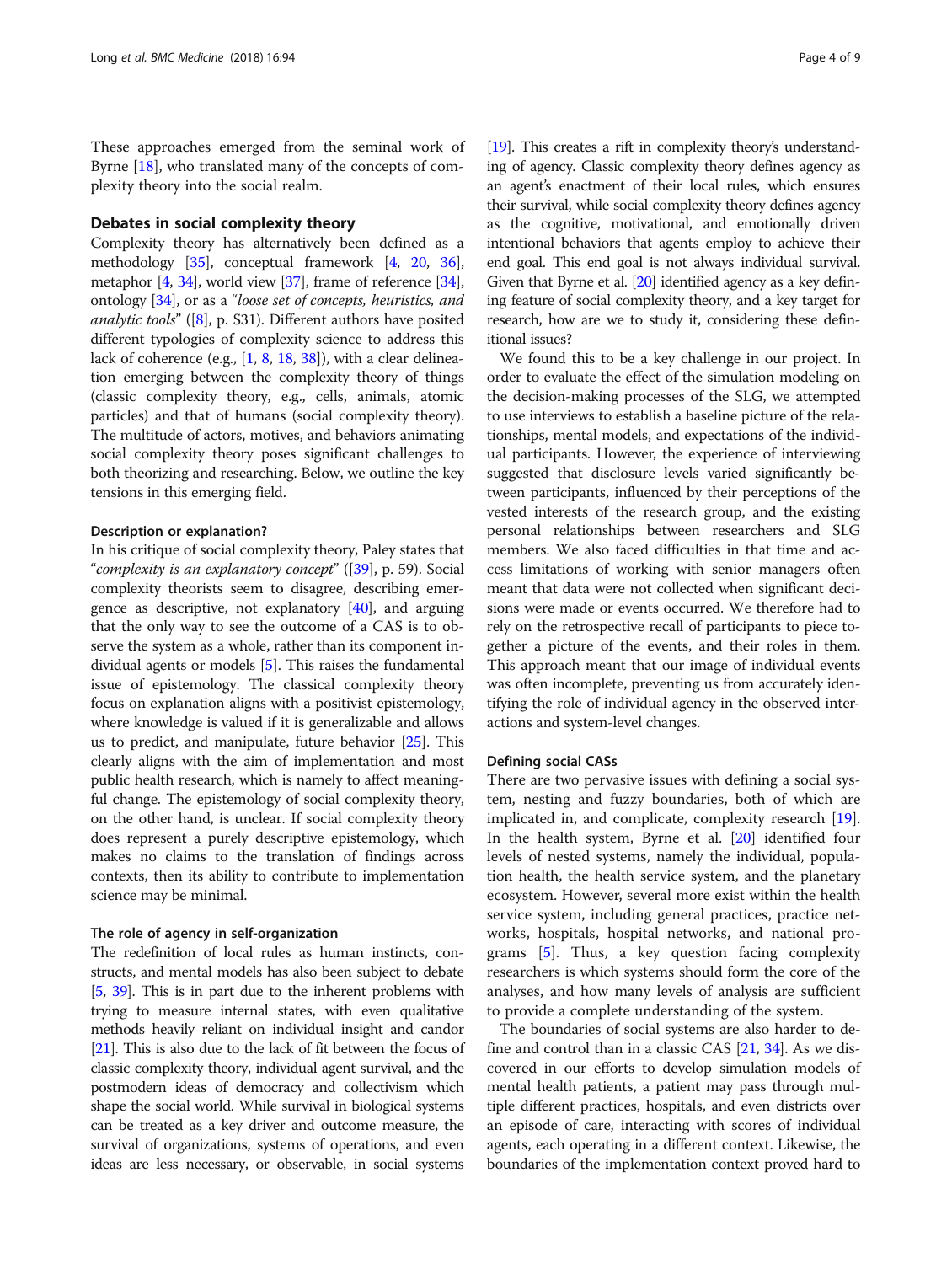These approaches emerged from the seminal work of Byrne [\[18](#page-7-0)], who translated many of the concepts of complexity theory into the social realm.

# Debates in social complexity theory

Complexity theory has alternatively been defined as a methodology [[35](#page-8-0)], conceptual framework [[4](#page-7-0), [20,](#page-7-0) [36](#page-8-0)], metaphor [\[4](#page-7-0), [34\]](#page-8-0), world view [[37](#page-8-0)], frame of reference [[34](#page-8-0)], ontology [[34](#page-8-0)], or as a "loose set of concepts, heuristics, and analytic tools" ([[8](#page-7-0)], p. S31). Different authors have posited different typologies of complexity science to address this lack of coherence (e.g., [\[1,](#page-7-0) [8,](#page-7-0) [18](#page-7-0), [38\]](#page-8-0)), with a clear delineation emerging between the complexity theory of things (classic complexity theory, e.g., cells, animals, atomic particles) and that of humans (social complexity theory). The multitude of actors, motives, and behaviors animating social complexity theory poses significant challenges to both theorizing and researching. Below, we outline the key tensions in this emerging field.

### Description or explanation?

In his critique of social complexity theory, Paley states that "complexity is an explanatory concept"  $(39)$ , p. 59). Social complexity theorists seem to disagree, describing emergence as descriptive, not explanatory [[40](#page-8-0)], and arguing that the only way to see the outcome of a CAS is to observe the system as a whole, rather than its component individual agents or models [\[5\]](#page-7-0). This raises the fundamental issue of epistemology. The classical complexity theory focus on explanation aligns with a positivist epistemology, where knowledge is valued if it is generalizable and allows us to predict, and manipulate, future behavior [\[25\]](#page-7-0). This clearly aligns with the aim of implementation and most public health research, which is namely to affect meaningful change. The epistemology of social complexity theory, on the other hand, is unclear. If social complexity theory does represent a purely descriptive epistemology, which makes no claims to the translation of findings across contexts, then its ability to contribute to implementation science may be minimal.

#### The role of agency in self-organization

The redefinition of local rules as human instincts, constructs, and mental models has also been subject to debate [[5](#page-7-0), [39\]](#page-8-0). This is in part due to the inherent problems with trying to measure internal states, with even qualitative methods heavily reliant on individual insight and candor [[21](#page-7-0)]. This is also due to the lack of fit between the focus of classic complexity theory, individual agent survival, and the postmodern ideas of democracy and collectivism which shape the social world. While survival in biological systems can be treated as a key driver and outcome measure, the survival of organizations, systems of operations, and even ideas are less necessary, or observable, in social systems [[19](#page-7-0)]. This creates a rift in complexity theory's understanding of agency. Classic complexity theory defines agency as an agent's enactment of their local rules, which ensures their survival, while social complexity theory defines agency as the cognitive, motivational, and emotionally driven intentional behaviors that agents employ to achieve their end goal. This end goal is not always individual survival. Given that Byrne et al. [\[20\]](#page-7-0) identified agency as a key defining feature of social complexity theory, and a key target for research, how are we to study it, considering these definitional issues?

We found this to be a key challenge in our project. In order to evaluate the effect of the simulation modeling on the decision-making processes of the SLG, we attempted to use interviews to establish a baseline picture of the relationships, mental models, and expectations of the individual participants. However, the experience of interviewing suggested that disclosure levels varied significantly between participants, influenced by their perceptions of the vested interests of the research group, and the existing personal relationships between researchers and SLG members. We also faced difficulties in that time and access limitations of working with senior managers often meant that data were not collected when significant decisions were made or events occurred. We therefore had to rely on the retrospective recall of participants to piece together a picture of the events, and their roles in them. This approach meant that our image of individual events was often incomplete, preventing us from accurately identifying the role of individual agency in the observed interactions and system-level changes.

# Defining social CASs

There are two pervasive issues with defining a social system, nesting and fuzzy boundaries, both of which are implicated in, and complicate, complexity research [\[19](#page-7-0)]. In the health system, Byrne et al. [\[20\]](#page-7-0) identified four levels of nested systems, namely the individual, population health, the health service system, and the planetary ecosystem. However, several more exist within the health service system, including general practices, practice networks, hospitals, hospital networks, and national programs [[5\]](#page-7-0). Thus, a key question facing complexity researchers is which systems should form the core of the analyses, and how many levels of analysis are sufficient to provide a complete understanding of the system.

The boundaries of social systems are also harder to define and control than in a classic CAS [[21](#page-7-0), [34\]](#page-8-0). As we discovered in our efforts to develop simulation models of mental health patients, a patient may pass through multiple different practices, hospitals, and even districts over an episode of care, interacting with scores of individual agents, each operating in a different context. Likewise, the boundaries of the implementation context proved hard to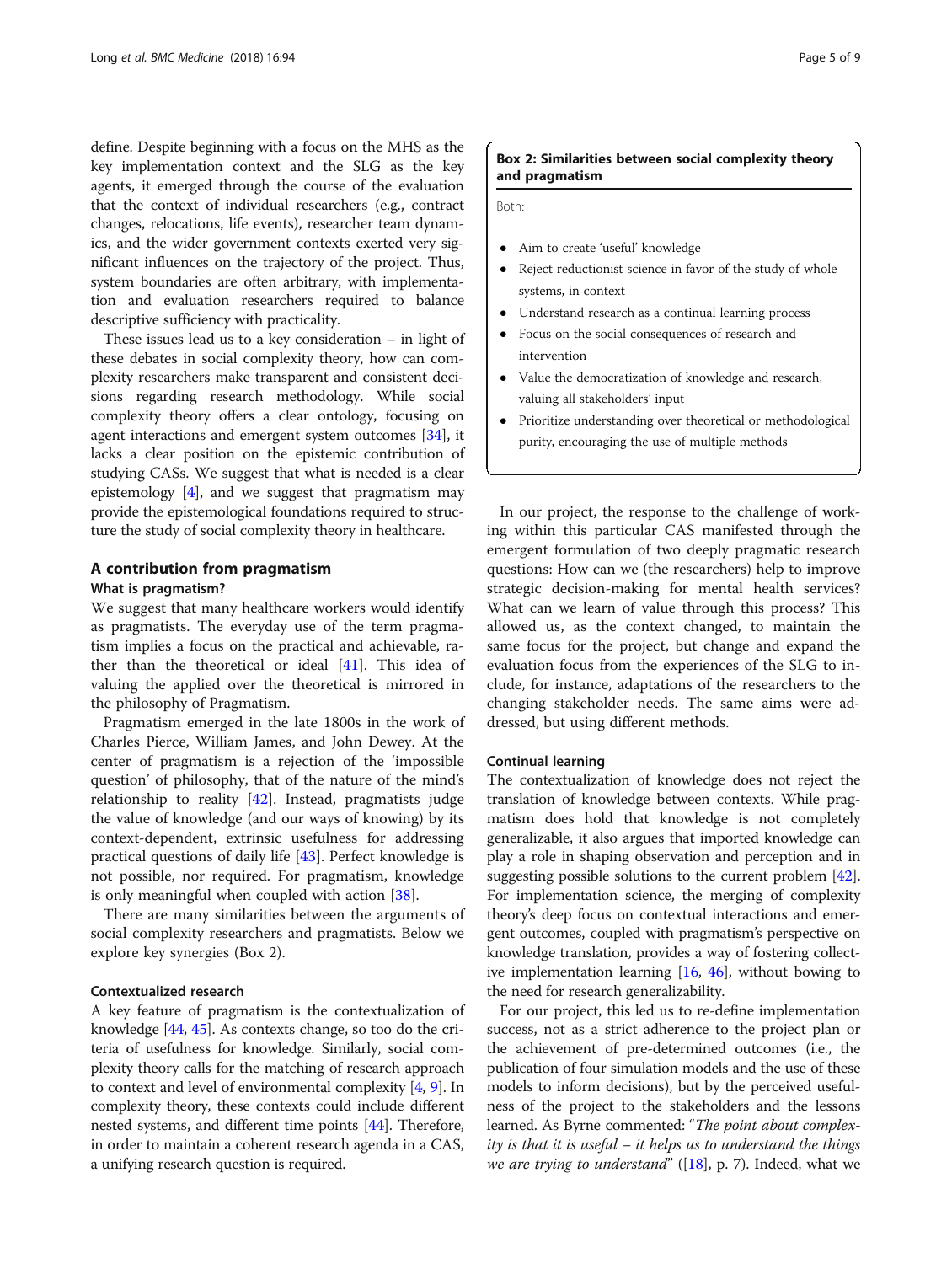define. Despite beginning with a focus on the MHS as the key implementation context and the SLG as the key agents, it emerged through the course of the evaluation that the context of individual researchers (e.g., contract changes, relocations, life events), researcher team dynamics, and the wider government contexts exerted very significant influences on the trajectory of the project. Thus, system boundaries are often arbitrary, with implementation and evaluation researchers required to balance descriptive sufficiency with practicality.

These issues lead us to a key consideration – in light of these debates in social complexity theory, how can complexity researchers make transparent and consistent decisions regarding research methodology. While social complexity theory offers a clear ontology, focusing on agent interactions and emergent system outcomes [[34](#page-8-0)], it lacks a clear position on the epistemic contribution of studying CASs. We suggest that what is needed is a clear epistemology  $[4]$ , and we suggest that pragmatism may provide the epistemological foundations required to structure the study of social complexity theory in healthcare.

# A contribution from pragmatism

# What is pragmatism?

We suggest that many healthcare workers would identify as pragmatists. The everyday use of the term pragmatism implies a focus on the practical and achievable, rather than the theoretical or ideal [[41\]](#page-8-0). This idea of valuing the applied over the theoretical is mirrored in the philosophy of Pragmatism.

Pragmatism emerged in the late 1800s in the work of Charles Pierce, William James, and John Dewey. At the center of pragmatism is a rejection of the 'impossible question' of philosophy, that of the nature of the mind's relationship to reality [[42\]](#page-8-0). Instead, pragmatists judge the value of knowledge (and our ways of knowing) by its context-dependent, extrinsic usefulness for addressing practical questions of daily life [[43\]](#page-8-0). Perfect knowledge is not possible, nor required. For pragmatism, knowledge is only meaningful when coupled with action [\[38](#page-8-0)].

There are many similarities between the arguments of social complexity researchers and pragmatists. Below we explore key synergies (Box 2).

# Contextualized research

A key feature of pragmatism is the contextualization of knowledge [\[44](#page-8-0), [45\]](#page-8-0). As contexts change, so too do the criteria of usefulness for knowledge. Similarly, social complexity theory calls for the matching of research approach to context and level of environmental complexity [[4](#page-7-0), [9](#page-7-0)]. In complexity theory, these contexts could include different nested systems, and different time points [[44](#page-8-0)]. Therefore, in order to maintain a coherent research agenda in a CAS, a unifying research question is required.

# Box 2: Similarities between social complexity theory and pragmatism

Both:

- Aim to create 'useful' knowledge
- Reject reductionist science in favor of the study of whole systems, in context
- Understand research as a continual learning process
- Focus on the social consequences of research and intervention
- Value the democratization of knowledge and research, valuing all stakeholders' input
- Prioritize understanding over theoretical or methodological purity, encouraging the use of multiple methods

In our project, the response to the challenge of working within this particular CAS manifested through the emergent formulation of two deeply pragmatic research questions: How can we (the researchers) help to improve strategic decision-making for mental health services? What can we learn of value through this process? This allowed us, as the context changed, to maintain the same focus for the project, but change and expand the evaluation focus from the experiences of the SLG to include, for instance, adaptations of the researchers to the changing stakeholder needs. The same aims were addressed, but using different methods.

# Continual learning

The contextualization of knowledge does not reject the translation of knowledge between contexts. While pragmatism does hold that knowledge is not completely generalizable, it also argues that imported knowledge can play a role in shaping observation and perception and in suggesting possible solutions to the current problem [[42](#page-8-0)]. For implementation science, the merging of complexity theory's deep focus on contextual interactions and emergent outcomes, coupled with pragmatism's perspective on knowledge translation, provides a way of fostering collective implementation learning  $[16, 46]$  $[16, 46]$  $[16, 46]$ , without bowing to the need for research generalizability.

For our project, this led us to re-define implementation success, not as a strict adherence to the project plan or the achievement of pre-determined outcomes (i.e., the publication of four simulation models and the use of these models to inform decisions), but by the perceived usefulness of the project to the stakeholders and the lessons learned. As Byrne commented: "The point about complexity is that it is useful – it helps us to understand the things we are trying to understand" ([\[18](#page-7-0)], p. 7). Indeed, what we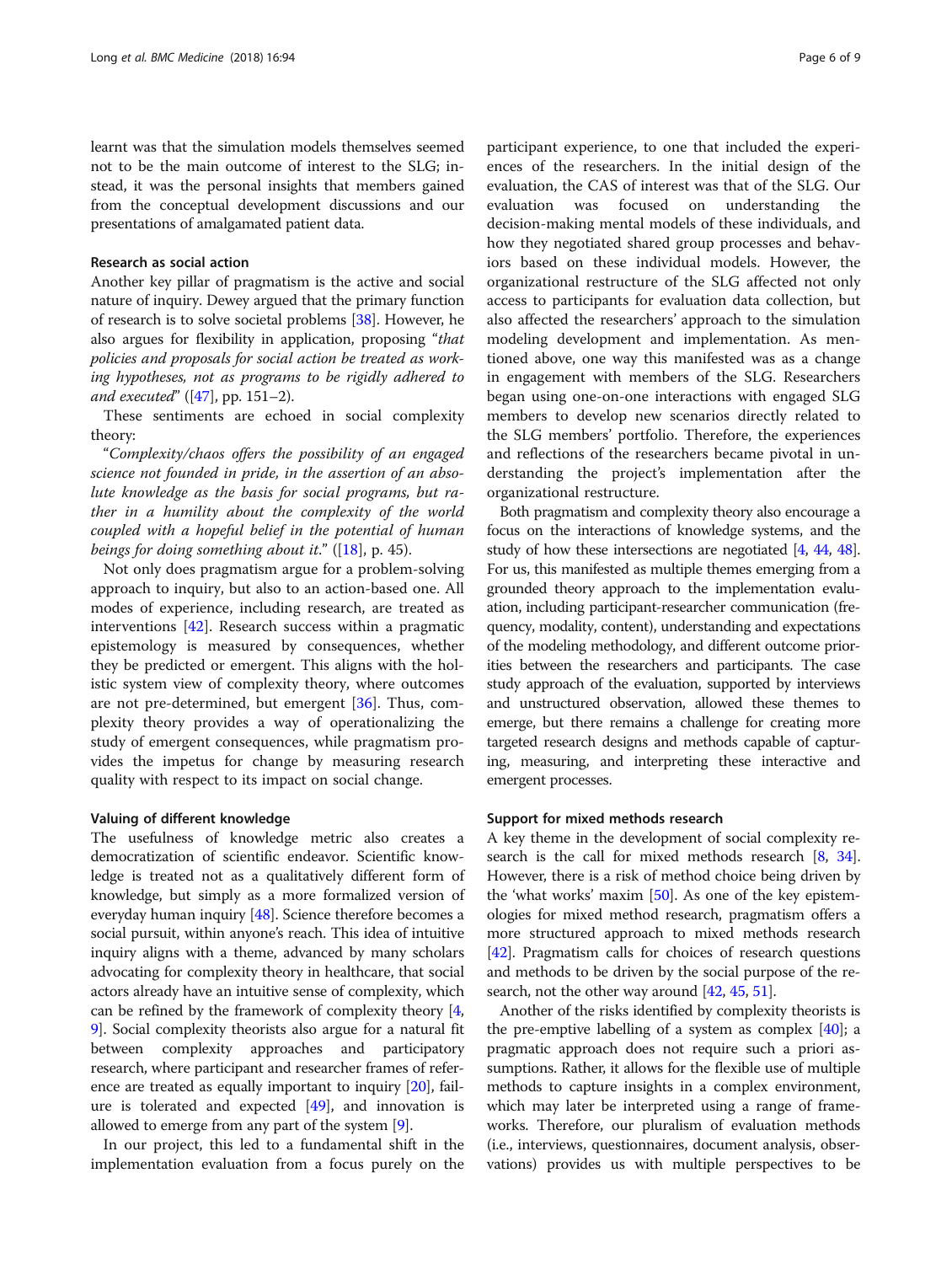learnt was that the simulation models themselves seemed not to be the main outcome of interest to the SLG; instead, it was the personal insights that members gained from the conceptual development discussions and our presentations of amalgamated patient data.

# Research as social action

Another key pillar of pragmatism is the active and social nature of inquiry. Dewey argued that the primary function of research is to solve societal problems [[38](#page-8-0)]. However, he also argues for flexibility in application, proposing "that policies and proposals for social action be treated as working hypotheses, not as programs to be rigidly adhered to and executed" ([[47](#page-8-0)], pp. 151–2).

These sentiments are echoed in social complexity theory:

"Complexity/chaos offers the possibility of an engaged science not founded in pride, in the assertion of an absolute knowledge as the basis for social programs, but rather in a humility about the complexity of the world coupled with a hopeful belief in the potential of human beings for doing something about it."  $(18)$ , p. 45).

Not only does pragmatism argue for a problem-solving approach to inquiry, but also to an action-based one. All modes of experience, including research, are treated as interventions [[42\]](#page-8-0). Research success within a pragmatic epistemology is measured by consequences, whether they be predicted or emergent. This aligns with the holistic system view of complexity theory, where outcomes are not pre-determined, but emergent [\[36\]](#page-8-0). Thus, complexity theory provides a way of operationalizing the study of emergent consequences, while pragmatism provides the impetus for change by measuring research quality with respect to its impact on social change.

# Valuing of different knowledge

The usefulness of knowledge metric also creates a democratization of scientific endeavor. Scientific knowledge is treated not as a qualitatively different form of knowledge, but simply as a more formalized version of everyday human inquiry [\[48\]](#page-8-0). Science therefore becomes a social pursuit, within anyone's reach. This idea of intuitive inquiry aligns with a theme, advanced by many scholars advocating for complexity theory in healthcare, that social actors already have an intuitive sense of complexity, which can be refined by the framework of complexity theory [[4](#page-7-0), [9\]](#page-7-0). Social complexity theorists also argue for a natural fit between complexity approaches and participatory research, where participant and researcher frames of reference are treated as equally important to inquiry [\[20\]](#page-7-0), failure is tolerated and expected  $[49]$ , and innovation is allowed to emerge from any part of the system [\[9](#page-7-0)].

In our project, this led to a fundamental shift in the implementation evaluation from a focus purely on the

participant experience, to one that included the experiences of the researchers. In the initial design of the evaluation, the CAS of interest was that of the SLG. Our evaluation was focused on understanding the decision-making mental models of these individuals, and how they negotiated shared group processes and behaviors based on these individual models. However, the organizational restructure of the SLG affected not only access to participants for evaluation data collection, but also affected the researchers' approach to the simulation modeling development and implementation. As mentioned above, one way this manifested was as a change in engagement with members of the SLG. Researchers began using one-on-one interactions with engaged SLG members to develop new scenarios directly related to the SLG members' portfolio. Therefore, the experiences and reflections of the researchers became pivotal in understanding the project's implementation after the organizational restructure.

Both pragmatism and complexity theory also encourage a focus on the interactions of knowledge systems, and the study of how these intersections are negotiated  $[4, 44, 48]$  $[4, 44, 48]$  $[4, 44, 48]$  $[4, 44, 48]$  $[4, 44, 48]$  $[4, 44, 48]$ . For us, this manifested as multiple themes emerging from a grounded theory approach to the implementation evaluation, including participant-researcher communication (frequency, modality, content), understanding and expectations of the modeling methodology, and different outcome priorities between the researchers and participants. The case study approach of the evaluation, supported by interviews and unstructured observation, allowed these themes to emerge, but there remains a challenge for creating more targeted research designs and methods capable of capturing, measuring, and interpreting these interactive and emergent processes.

# Support for mixed methods research

A key theme in the development of social complexity research is the call for mixed methods research [[8](#page-7-0), [34](#page-8-0)]. However, there is a risk of method choice being driven by the 'what works' maxim [\[50\]](#page-8-0). As one of the key epistemologies for mixed method research, pragmatism offers a more structured approach to mixed methods research [[42](#page-8-0)]. Pragmatism calls for choices of research questions and methods to be driven by the social purpose of the research, not the other way around [\[42](#page-8-0), [45](#page-8-0), [51\]](#page-8-0).

Another of the risks identified by complexity theorists is the pre-emptive labelling of a system as complex  $[40]$  $[40]$ ; a pragmatic approach does not require such a priori assumptions. Rather, it allows for the flexible use of multiple methods to capture insights in a complex environment, which may later be interpreted using a range of frameworks. Therefore, our pluralism of evaluation methods (i.e., interviews, questionnaires, document analysis, observations) provides us with multiple perspectives to be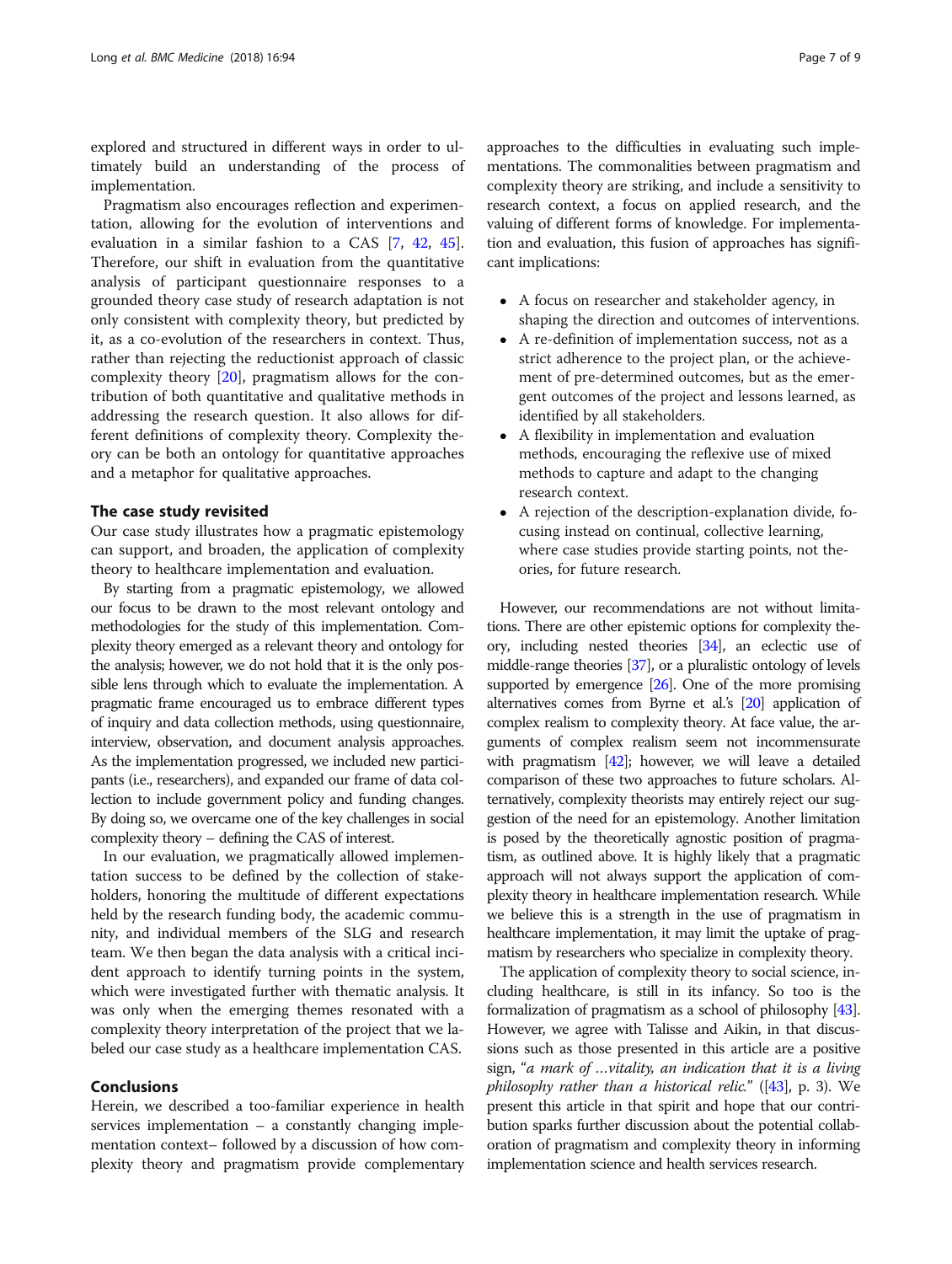explored and structured in different ways in order to ultimately build an understanding of the process of implementation.

Pragmatism also encourages reflection and experimentation, allowing for the evolution of interventions and evaluation in a similar fashion to a CAS [[7,](#page-7-0) [42,](#page-8-0) [45](#page-8-0)]. Therefore, our shift in evaluation from the quantitative analysis of participant questionnaire responses to a grounded theory case study of research adaptation is not only consistent with complexity theory, but predicted by it, as a co-evolution of the researchers in context. Thus, rather than rejecting the reductionist approach of classic complexity theory [[20\]](#page-7-0), pragmatism allows for the contribution of both quantitative and qualitative methods in addressing the research question. It also allows for different definitions of complexity theory. Complexity theory can be both an ontology for quantitative approaches and a metaphor for qualitative approaches.

#### The case study revisited

Our case study illustrates how a pragmatic epistemology can support, and broaden, the application of complexity theory to healthcare implementation and evaluation.

By starting from a pragmatic epistemology, we allowed our focus to be drawn to the most relevant ontology and methodologies for the study of this implementation. Complexity theory emerged as a relevant theory and ontology for the analysis; however, we do not hold that it is the only possible lens through which to evaluate the implementation. A pragmatic frame encouraged us to embrace different types of inquiry and data collection methods, using questionnaire, interview, observation, and document analysis approaches. As the implementation progressed, we included new participants (i.e., researchers), and expanded our frame of data collection to include government policy and funding changes. By doing so, we overcame one of the key challenges in social complexity theory – defining the CAS of interest.

In our evaluation, we pragmatically allowed implementation success to be defined by the collection of stakeholders, honoring the multitude of different expectations held by the research funding body, the academic community, and individual members of the SLG and research team. We then began the data analysis with a critical incident approach to identify turning points in the system, which were investigated further with thematic analysis. It was only when the emerging themes resonated with a complexity theory interpretation of the project that we labeled our case study as a healthcare implementation CAS.

# Conclusions

Herein, we described a too-familiar experience in health services implementation – a constantly changing implementation context– followed by a discussion of how complexity theory and pragmatism provide complementary

approaches to the difficulties in evaluating such implementations. The commonalities between pragmatism and complexity theory are striking, and include a sensitivity to research context, a focus on applied research, and the valuing of different forms of knowledge. For implementation and evaluation, this fusion of approaches has signifi-

 A focus on researcher and stakeholder agency, in shaping the direction and outcomes of interventions.

cant implications:

- A re-definition of implementation success, not as a strict adherence to the project plan, or the achievement of pre-determined outcomes, but as the emergent outcomes of the project and lessons learned, as identified by all stakeholders.
- A flexibility in implementation and evaluation methods, encouraging the reflexive use of mixed methods to capture and adapt to the changing research context.
- A rejection of the description-explanation divide, focusing instead on continual, collective learning, where case studies provide starting points, not theories, for future research.

However, our recommendations are not without limitations. There are other epistemic options for complexity theory, including nested theories [[34](#page-8-0)], an eclectic use of middle-range theories [\[37\]](#page-8-0), or a pluralistic ontology of levels supported by emergence  $[26]$  $[26]$ . One of the more promising alternatives comes from Byrne et al.'s [[20\]](#page-7-0) application of complex realism to complexity theory. At face value, the arguments of complex realism seem not incommensurate with pragmatism  $[42]$  $[42]$ ; however, we will leave a detailed comparison of these two approaches to future scholars. Alternatively, complexity theorists may entirely reject our suggestion of the need for an epistemology. Another limitation is posed by the theoretically agnostic position of pragmatism, as outlined above. It is highly likely that a pragmatic approach will not always support the application of complexity theory in healthcare implementation research. While we believe this is a strength in the use of pragmatism in healthcare implementation, it may limit the uptake of pragmatism by researchers who specialize in complexity theory.

The application of complexity theory to social science, including healthcare, is still in its infancy. So too is the formalization of pragmatism as a school of philosophy [\[43](#page-8-0)]. However, we agree with Talisse and Aikin, in that discussions such as those presented in this article are a positive sign, "a mark of …vitality, an indication that it is a living philosophy rather than a historical relic."  $(43)$ , p. 3). We present this article in that spirit and hope that our contribution sparks further discussion about the potential collaboration of pragmatism and complexity theory in informing implementation science and health services research.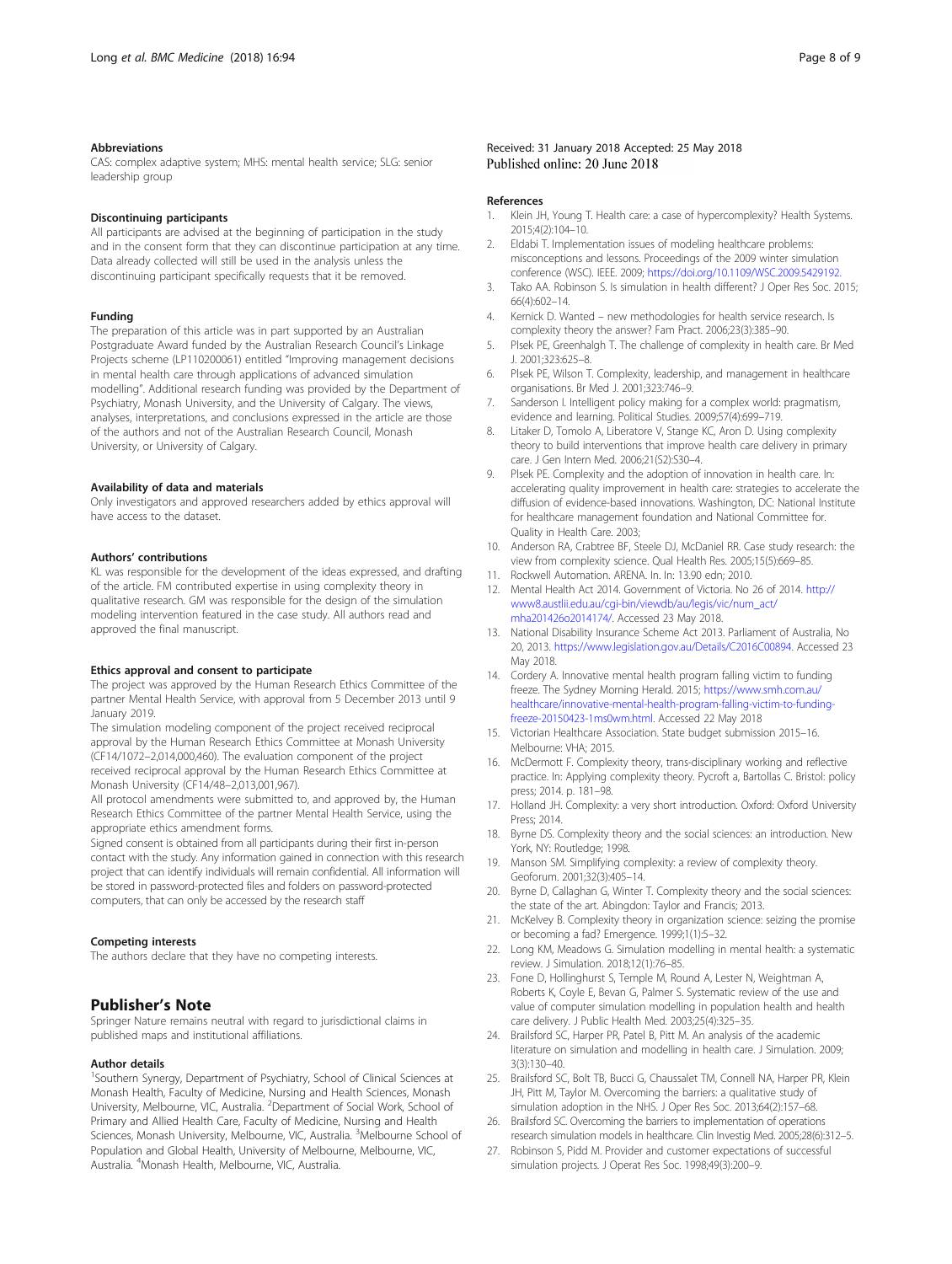#### <span id="page-7-0"></span>Abbreviations

CAS: complex adaptive system; MHS: mental health service; SLG: senior leadership group

#### Discontinuing participants

All participants are advised at the beginning of participation in the study and in the consent form that they can discontinue participation at any time. Data already collected will still be used in the analysis unless the discontinuing participant specifically requests that it be removed.

### Funding

The preparation of this article was in part supported by an Australian Postgraduate Award funded by the Australian Research Council's Linkage Projects scheme (LP110200061) entitled "Improving management decisions in mental health care through applications of advanced simulation modelling". Additional research funding was provided by the Department of Psychiatry, Monash University, and the University of Calgary. The views, analyses, interpretations, and conclusions expressed in the article are those of the authors and not of the Australian Research Council, Monash University, or University of Calgary.

#### Availability of data and materials

Only investigators and approved researchers added by ethics approval will have access to the dataset.

#### Authors' contributions

KL was responsible for the development of the ideas expressed, and drafting of the article. FM contributed expertise in using complexity theory in qualitative research. GM was responsible for the design of the simulation modeling intervention featured in the case study. All authors read and approved the final manuscript.

#### Ethics approval and consent to participate

The project was approved by the Human Research Ethics Committee of the partner Mental Health Service, with approval from 5 December 2013 until 9 January 2019.

The simulation modeling component of the project received reciprocal approval by the Human Research Ethics Committee at Monash University (CF14/1072–2,014,000,460). The evaluation component of the project received reciprocal approval by the Human Research Ethics Committee at Monash University (CF14/48–2,013,001,967).

All protocol amendments were submitted to, and approved by, the Human Research Ethics Committee of the partner Mental Health Service, using the appropriate ethics amendment forms.

Signed consent is obtained from all participants during their first in-person contact with the study. Any information gained in connection with this research project that can identify individuals will remain confidential. All information will be stored in password-protected files and folders on password-protected computers, that can only be accessed by the research staff

#### Competing interests

The authors declare that they have no competing interests.

#### Publisher's Note

Springer Nature remains neutral with regard to jurisdictional claims in published maps and institutional affiliations.

#### Author details

<sup>1</sup>Southern Synergy, Department of Psychiatry, School of Clinical Sciences at Monash Health, Faculty of Medicine, Nursing and Health Sciences, Monash University, Melbourne, VIC, Australia. <sup>2</sup>Department of Social Work, School of Primary and Allied Health Care, Faculty of Medicine, Nursing and Health Sciences, Monash University, Melbourne, VIC, Australia. <sup>3</sup>Melbourne School of Population and Global Health, University of Melbourne, Melbourne, VIC, Australia. <sup>4</sup> Monash Health, Melbourne, VIC, Australia.

#### References

- 1. Klein JH, Young T. Health care: a case of hypercomplexity? Health Systems. 2015;4(2):104–10.
- 2. Eldabi T. Implementation issues of modeling healthcare problems: misconceptions and lessons. Proceedings of the 2009 winter simulation conference (WSC). IEEE. 2009; <https://doi.org/10.1109/WSC.2009.5429192.>
- 3. Tako AA. Robinson S. Is simulation in health different? J Oper Res Soc. 2015; 66(4):602–14.
- 4. Kernick D. Wanted new methodologies for health service research. Is complexity theory the answer? Fam Pract. 2006;23(3):385–90.
- 5. Plsek PE, Greenhalgh T. The challenge of complexity in health care. Br Med J. 2001;323:625–8.
- 6. Plsek PE, Wilson T. Complexity, leadership, and management in healthcare organisations. Br Med J. 2001;323:746–9.
- 7. Sanderson I. Intelligent policy making for a complex world: pragmatism, evidence and learning. Political Studies. 2009;57(4):699–719.
- 8. Litaker D, Tomolo A, Liberatore V, Stange KC, Aron D. Using complexity theory to build interventions that improve health care delivery in primary care. J Gen Intern Med. 2006;21(S2):S30–4.
- 9. Plsek PE. Complexity and the adoption of innovation in health care. In: accelerating quality improvement in health care: strategies to accelerate the diffusion of evidence-based innovations. Washington, DC: National Institute for healthcare management foundation and National Committee for. Quality in Health Care. 2003;
- 10. Anderson RA, Crabtree BF, Steele DJ, McDaniel RR. Case study research: the view from complexity science. Qual Health Res. 2005;15(5):669–85.
- 11. Rockwell Automation. ARENA. In. In: 13.90 edn; 2010.
- 12. Mental Health Act 2014. Government of Victoria. No 26 of 2014. [http://](http://www8.austlii.edu.au/cgi-bin/viewdb/au/legis/vic/num_act/mha201426o2014174/) [www8.austlii.edu.au/cgi-bin/viewdb/au/legis/vic/num\\_act/](http://www8.austlii.edu.au/cgi-bin/viewdb/au/legis/vic/num_act/mha201426o2014174/) [mha201426o2014174/](http://www8.austlii.edu.au/cgi-bin/viewdb/au/legis/vic/num_act/mha201426o2014174/). Accessed 23 May 2018.
- 13. National Disability Insurance Scheme Act 2013. Parliament of Australia, No 20, 2013. <https://www.legislation.gov.au/Details/C2016C00894>. Accessed 23 May 2018.
- 14. Cordery A. Innovative mental health program falling victim to funding freeze. The Sydney Morning Herald. 2015; [https://www.smh.com.au/](https://www.smh.com.au/healthcare/innovative-mental-health-program-falling-victim-to-funding-freeze-20150423-1ms0wm.html) [healthcare/innovative-mental-health-program-falling-victim-to-funding](https://www.smh.com.au/healthcare/innovative-mental-health-program-falling-victim-to-funding-freeze-20150423-1ms0wm.html)[freeze-20150423-1ms0wm.html.](https://www.smh.com.au/healthcare/innovative-mental-health-program-falling-victim-to-funding-freeze-20150423-1ms0wm.html) Accessed 22 May 2018
- 15. Victorian Healthcare Association. State budget submission 2015–16. Melbourne: VHA; 2015.
- 16. McDermott F. Complexity theory, trans-disciplinary working and reflective practice. In: Applying complexity theory. Pycroft a, Bartollas C. Bristol: policy press; 2014. p. 181–98.
- 17. Holland JH. Complexity: a very short introduction. Oxford: Oxford University Press; 2014.
- 18. Byrne DS. Complexity theory and the social sciences: an introduction. New York, NY: Routledge; 1998.
- 19. Manson SM. Simplifying complexity: a review of complexity theory. Geoforum. 2001;32(3):405–14.
- 20. Byrne D, Callaghan G, Winter T. Complexity theory and the social sciences: the state of the art. Abingdon: Taylor and Francis; 2013.
- 21. McKelvey B. Complexity theory in organization science: seizing the promise or becoming a fad? Emergence. 1999;1(1):5–32.
- 22. Long KM, Meadows G. Simulation modelling in mental health: a systematic review. J Simulation. 2018;12(1):76–85.
- 23. Fone D, Hollinghurst S, Temple M, Round A, Lester N, Weightman A, Roberts K, Coyle E, Bevan G, Palmer S. Systematic review of the use and value of computer simulation modelling in population health and health care delivery. J Public Health Med. 2003;25(4):325–35.
- 24. Brailsford SC, Harper PR, Patel B, Pitt M. An analysis of the academic literature on simulation and modelling in health care. J Simulation. 2009; 3(3):130–40.
- 25. Brailsford SC, Bolt TB, Bucci G, Chaussalet TM, Connell NA, Harper PR, Klein JH, Pitt M, Taylor M. Overcoming the barriers: a qualitative study of simulation adoption in the NHS. J Oper Res Soc. 2013;64(2):157–68.
- 26. Brailsford SC. Overcoming the barriers to implementation of operations research simulation models in healthcare. Clin Investig Med. 2005;28(6):312–5.
- 27. Robinson S, Pidd M. Provider and customer expectations of successful simulation projects. J Operat Res Soc. 1998;49(3):200–9.